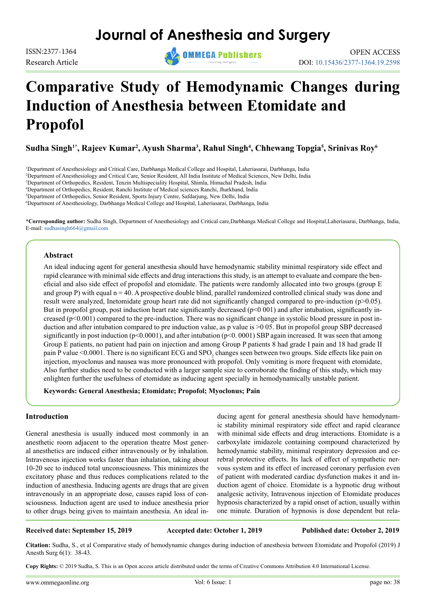# **Journal of Anesthesia and Surgery**

Research Article



# **Comparative Study of Hemodynamic Changes during Induction of Anesthesia between Etomidate and Propofol**

 $\boldsymbol{\mathrm{Sudha\; Singh^{1*},\;}$ Rajeev Kumar<sup>2</sup>, Ayush Sharma<sup>3</sup>, Rahul Singh<sup>4</sup>, Chhewang Topgia<sup>5</sup>, Srinivas Roy<sup>6</sup>

 Department of Anesthesiology and Critical Care, Darbhanga Medical College and Hospital, Laheriasarai, Darbhanga, India Department of Anesthesiology and Critical Care, Senior Resident, All India Institute of Medical Sciences, New Delhi, India Department of Orthopedics, Resident, Tenzin Multispeciality Hospital, Shimla, Himachal Pradesh, India Department of Orthopedics, Resident, Ranchi Institute of Medical sciences Ranchi, Jharkhand, India Department of Orthopedics, Senior Resident, Sports Injury Centre, Safdarjung, New Delhi, India Department of Anesthesiology, Darbhanga Medical College and Hospital, Laheriasarai, Darbhanga, India

**\*Corresponding author:** Sudha Singh, Department of Anesthesiology and Critical care,Darbhanga Medical College and Hospital,Laheriasarai, Darbhanga, India, E-mail: [sudhasingh664@gmail.com](mailto:sudhasingh664%40gmail.com?subject=)

### **Abstract**

An ideal inducing agent for general anesthesia should have hemodynamic stability minimal respiratory side effect and rapid clearance with minimal side effects and drug interactions this study, is an attempt to evaluate and compare the beneficial and also side effect of propofol and etomidate. The patients were randomly allocated into two groups (group E and group P) with equal  $n = 40$ . A prospective double blind, parallel randomized controlled clinical study was done and result were analyzed, Inetomidate group heart rate did not significantly changed compared to pre-induction (p>0.05). But in propofol group, post induction heart rate significantly decreased (p<0 001) and after intubation, significantly increased (p<0.001) compared to the pre-induction. There was no significant change in systolic blood pressure in post induction and after intubation compared to pre induction value, as p value is >0 05. But in propofol group SBP decreased significantly in post induction  $(p<0.0001)$ , and after intubation  $(p<0.0001)$  SBP again increased. It was seen that among Group E patients, no patient had pain on injection and among Group P patients 8 had grade I pain and 18 had grade II pain P value <0.0001. There is no significant ECG and SPO<sub>2</sub> changes seen between two groups. Side effects like pain on injection, myoclonus and nausea was more pronounced with propofol. Only vomiting is more frequent with etomidate, Also further studies need to be conducted with a larger sample size to corroborate the finding of this study, which may enlighten further the usefulness of etomidate as inducing agent specially in hemodynamically unstable patient.

**Keywords: General Anesthesia; Etomidate; Propofol; Myoclonus; Pain** 

### **Introduction**

General anesthesia is usually induced most commonly in an anesthetic room adjacent to the operation theatre Most general anesthetics are induced either intravenously or by inhalation. Intravenous injection works faster than inhalation, taking about 10-20 sec to induced total unconsciousness. This minimizes the excitatory phase and thus reduces complications related to the induction of anesthesia. Inducing agents are drugs that are given intravenously in an appropriate dose, causes rapid loss of consciousness. Induction agent are used to induce anesthesia prior to other drugs being given to maintain anesthesia. An ideal in-

ducing agent for general anesthesia should have hemodynamic stability minimal respiratory side effect and rapid clearance with minimal side effects and drug interactions. Etomidate is a carboxylate imidazole containing compound characterized by hemodynamic stability, minimal respiratory depression and cerebral protective effects. Its lack of effect of sympathetic nervous system and its effect of increased coronary perfusion even of patient with moderated cardiac dysfunction makes it and induction agent of choice. Etomidate is a hypnotic drug without analgesic activity, Intravenous injection of Etomidate produces hypnosis characterized by a rapid onset of action, usually within one minute. Duration of hypnosis is dose dependent but rela-

### **Received date: September 15, 2019 Accepted date: October 1, 2019 Published date: October 2, 2019**

**Citation:** Sudha, S., et al Comparative study of hemodynamic changes during induction of anesthesia between Etomidate and Propofol (2019) J Anesth Surg 6(1): 38-43.

**Copy Rights:** © 2019 Sudha, S. This is an Open access article distributed under the terms of Creative Commons Attribution 4.0 International License.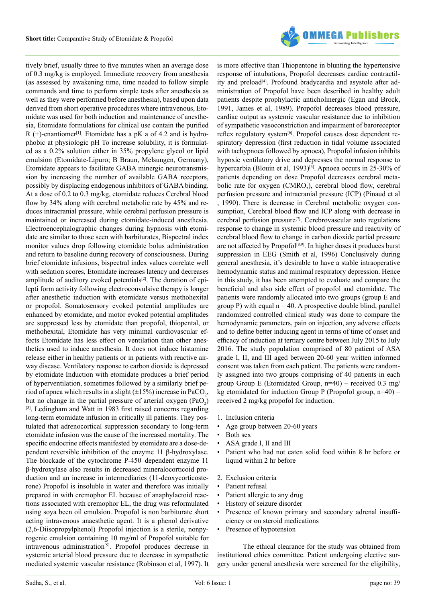

tively brief, usually three to five minutes when an average dose of 0.3 mg/kg is employed. Immediate recovery from anesthesia (as assessed by awakening time, time needed to follow simple commands and time to perform simple tests after anesthesia as well as they were performed before anesthesia), based upon data derived from short operative procedures where intravenous, Etomidate was used for both induction and maintenance of anesthesia, Etomidate formulations for clinical use contain the purified R  $(+)$ -enantiomer<sup>[1]</sup>. Etomidate has a pK a of 4.2 and is hydrophobic at physiologic pH To increase solubility, it is formulated as a 0.2% solution either in 35% propylene glycol or lipid emulsion (Etomidate-Lipuro; B Braun, Melsungen, Germany), Etomidate appears to facilitate GABA minergic neurotransmission by increasing the number of available GABA receptors, possibly by displacing endogenous inhibitors of GABA binding. At a dose of 0.2 to 0.3 mg/kg, etomidate reduces Cerebral blood flow by 34% along with cerebral metabolic rate by 45% and reduces intracranial pressure, while cerebral perfusion pressure is maintained or increased during etomidate-induced anesthesia. Electroencephalographic changes during hypnosis with etomidate are similar to those seen with barbiturates, Bispectral index monitor values drop following etomidate bolus administration and return to baseline during recovery of consciousness. During brief etomidate infusions, bispectral index values correlate well with sedation scores, Etomidate increases latency and decreases amplitude of auditory evoked potentials<sup>[\[2\]](#page-4-1)</sup>. The duration of epilepti form activity following electroconvulsive therapy is longer after anesthetic induction with etomidate versus methohexital or propofol. Somatosensory evoked potential amplitudes are enhanced by etomidate, and motor evoked potential amplitudes are suppressed less by etomidate than propofol, thiopental, or methohexital, Etomidate has very minimal cardiovascular effects Etomidate has less effect on ventilation than other anesthetics used to induce anesthesia. It does not induce histamine release either in healthy patients or in patients with reactive airway disease. Ventilatory response to carbon dioxide is depressed by etomidate Induction with etomidate produces a brief period of hyperventilation, sometimes followed by a similarly brief period of apnea which results in a slight ( $\pm 15\%$ ) increase in PaCO<sub>2</sub>, but no change in the partial pressure of arterial oxygen  $(PaO<sub>2</sub>)$ [\[3\]](#page-4-2). Ledingham and Watt in 1983 first raised concerns regarding long-term etomidate infusion in critically ill patients. They postulated that adrenocortical suppression secondary to long-term etomidate infusion was the cause of the increased mortality. The specific endocrine effects manifested by etomidate are a dose-dependent reversible inhibition of the enzyme 11 β-hydroxylase. The blockade of the cytochrome P-450–dependent enzyme 11 β-hydroxylase also results in decreased mineralocorticoid production and an increase in intermediaries (11-deoxycorticosterone) Propofol is insoluble in water and therefore was initially prepared in with cremophor EL because of anaphylactoid reactions associated with cremophor EL, the drug was reformulated using soya been oil emulsion. Propofol is non barbiturate short acting intravenous anaesthetic agent. It is a phenol derivative (2,6-Diisopropylphenol) Propofol injection is a sterile, nonpyrogenic emulsion containing 10 mg/ml of Propofol suitable for intravenous administration<sup>[5]</sup>. Propofol produces decrease in systemic arterial blood pressure due to decrease in sympathetic mediated systemic vascular resistance (Robinson et al, 1997). It

is more effective than Thiopentone in blunting the hypertensive response of intubations, Propofol decreases cardiac contractility and preload<sup>[4]</sup>. Profound bradycardia and asystole after administration of Propofol have been described in healthy adult patients despite prophylactic anticholinergic (Egan and Brock, 1991, James et al, 1989). Propofol decreases blood pressure, cardiac output as systemic vascular resistance due to inhibition of sympathetic vasoconstriction and impairment of baroreceptor reflex regulatory system<sup>[6]</sup>. Propofol causes dose dependent respiratory depression (first reduction in tidal volume associated with tachypnoea followed by apnoea), Propofol infusion inhibits hypoxic ventilatory drive and depresses the normal response to hypercarbia (Blouin et al, 1993)<sup>[6]</sup>. Apnoea occurs in 25-30% of patients depending on dose Propofol decreases cerebral metabolic rate for oxygen (CMRO<sub>2</sub>), cerebral blood flow, cerebral perfusion pressure and intracranial pressure (ICP) (Pinaud et al , 1990). There is decrease in Cerebral metabolic oxygen consumption, Cerebral blood flow and ICP along with decrease in cerebral perfusion pressur[e\[7\]](#page-5-2). Cerebrovascular auto regulations response to change in systemic blood pressure and reactivity of cerebral blood flow to change in carbon dioxide partial pressure are not affected by Propofol<sup>[\[8,9\]](#page-5-3)</sup>. In higher doses it produces burst suppression in EEG (Smith et al, 1996) Conclusively during general anesthesia, it's desirable to have a stable intraoperative hemodynamic status and minimal respiratory depression. Hence in this study, it has been attempted to evaluate and compare the beneficial and also side effect of propofol and etomidate. The patients were randomly allocated into two groups (group E and group P) with equal  $n = 40$ . A prospective double blind, parallel randomized controlled clinical study was done to compare the hemodynamic parameters, pain on injection, any adverse effects and to define better inducing agent in terms of time of onset and efficacy of induction at tertiary centre between July 2015 to July 2016. The study population comprised of 80 patient of ASA grade I, II, and III aged between 20-60 year written informed consent was taken from each patient. The patients were randomly assigned into two groups comprising of 40 patients in each group Group E (Etomidated Group,  $n=40$ ) – received 0.3 mg/ kg etomidated for induction Group P (Propofol group,  $n=40$ ) – received 2 mg/kg propofol for induction.

- 1. Inclusion criteria
- Age group between 20-60 years
- Both sex
- ASA grade I, II and III
- Patient who had not eaten solid food within 8 hr before or liquid within 2 hr before
- 2. Exclusion criteria
- Patient refusal
- Patient allergic to any drug
- History of seizure disorder
- Presence of known primary and secondary adrenal insufficiency or on steroid medications
- Presence of hypotension

The ethical clearance for the study was obtained from institutional ethics committee. Patient undergoing elective surgery under general anesthesia were screened for the eligibility,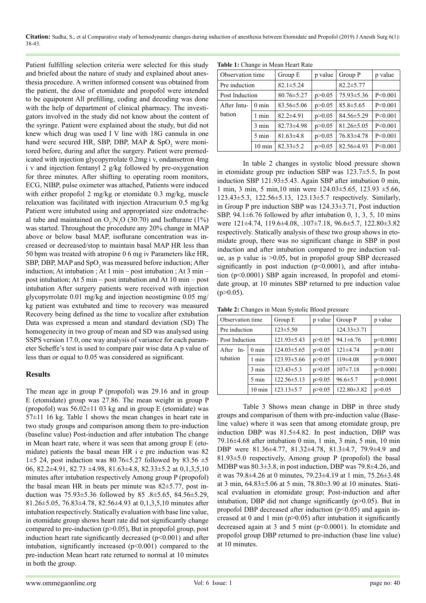**Citation:** Sudha, S., et al Comparative study of hemodynamic changes during induction of anesthesia between Etomidate and Propofol (2019) J Anesth Surg 6(1): 38-43.

Patient fulfilling selection criteria were selected for this study and briefed about the nature of study and explained about anesthesia procedure. A written informed consent was obtained from the patient, the dose of etomidate and propofol were intended to be equipotent All prefilling, coding and decoding was done with the help of department of clinical pharmacy. The investigators involved in the study did not know about the content of the syringe. Patient were explained about the study, but did not knew which drug was used I V line with 18G cannula in one hand were secured HR, SBP, DBP, MAP &  $SpO<sub>2</sub>$  were monitored before, during and after the surgery. Patient were premedicated with injection glycopyrrolate 0.2mg i v, ondansetron 4mg i v and injection fentanyl 2 g/kg followed by pre-oxygenation for three minutes. After shifting to operating room monitors, ECG, NIBP, pulse oximeter was attached, Patients were induced with either propofol 2 mg/kg or etomidate 0.3 mg/kg, muscle relaxation was facilitated with injection Atracurium 0.5 mg/kg Patient were intubated using and appropriated size endotracheal tube and maintained on  $O_2:N_2O(30:70)$  and Isoflurane (1%) was started. Throughout the procedure any 20% change in MAP above or below basal MAP, isoflurane concentration was increased or decreased/stop to maintain basal MAP HR less than 50 bpm was treated with atropine 0 6 mg iv Parameters like HR, SBP, DBP, MAP and  $SpO<sub>2</sub>$  was measured before induction; After induction; At intubation ; At 1 min – post intubation ; At 3 min – post intubation; At 5 min – post intubation and At 10 min – post intubation After surgery patients were received with injection glycopyrrolate 0.01 mg/kg and injection neostigmine 0.05 mg/ kg patient was extubated and time to recovery was measured Recovery being defined as the time to vocalize after extubation Data was expressed a mean and standard deviation (SD) The homogenecity in two group of mean and SD was analysed using SSPS version 17.0, one way analysis of variance for each parameter Scheffe's test is used to compare pair wise data A p value of less than or equal to 0.05 was considered as significant.

# **Results**

The mean age in group P (propofol) was 29.16 and in group E (etomidate) group was 27.86. The mean weight in group P (propofol) was  $56.02 \pm 11.03$  kg and in group E (etomidate) was  $57±11$  16 kg. Table 1 shows the mean changes in heart rate in two study groups and comparison among them to pre-induction (baseline value) Post-induction and after intubation The change in Mean heart rate, where it was seen that among group E (etomidate) patients the basal mean HR i e pre induction was 82 1 $\pm$ 5 24, post induction was 80.76 $\pm$ 5.27 followed by 83.56  $\pm$ 5 06, 82.2±4.91, 82.73 ±4.98, 81.63±4.8, 82.33±5.2 at 0,1,3,5,10 minutes after intubation respectively Among group P (propofol) the basal mean HR in beats per minute was 82±5.77, post induction was 75.93±5.36 followed by 85 .8±5.65, 84.56±5.29, 81.26±5.05, 76.83±4.78, 82.56±4.93 at 0,1,3,5,10 minutes after intubation respectively. Statically evaluation with base line value, in etomidate group shows heart rate did not significantly change compared to pre-induction (p>0.05), But in propofol group, post induction heart rate significantly decreased  $(p<0.001)$  and after intubation, significantly increased  $(p<0.001)$  compared to the pre-induction Mean heart rate returned to normal at 10 minutes in both the group.

| Table 1: Change in Mean Heart Rate |  |
|------------------------------------|--|
|------------------------------------|--|

| Observation time               |                  | Group E          | p value  | Group P          | p value   |
|--------------------------------|------------------|------------------|----------|------------------|-----------|
| Pre induction                  |                  | $82.1 \pm 5.24$  |          | $82.2 \pm 5.77$  |           |
| Post Induction                 |                  | $80.76 \pm 5.27$ | p > 0.05 | $75.93 \pm 5.36$ | P < 0.001 |
| After Intu-<br>$0 \text{ min}$ |                  | $83.56 \pm 5.06$ | p > 0.05 | $85.8 \pm 5.65$  | P < 0.001 |
| bation                         | 1 min            | $82.2 + 4.91$    | p > 0.05 | $84.56 \pm 5.29$ | P < 0.001 |
|                                | $3 \text{ min}$  | $82.73 \pm 4.98$ | p > 0.05 | $81.26 \pm 5.05$ | P < 0.001 |
|                                | $5 \text{ min}$  | $81.63 \pm 4.8$  | p > 0.05 | $76.83\pm4.78$   | P < 0.001 |
|                                | $10 \text{ min}$ | $82.33 \pm 5.2$  | p > 0.05 | $82.56 \pm 4.93$ | P < 0.001 |

In table 2 changes in systolic blood pressure shown in etomidate group pre induction SBP was 123.7±5.5, In post induction SBP 121.93±5.43. Again SBP after intubation 0 min, 1 min, 3 min, 5 min,10 min were 124.03±5.65, 123.93 ±5.66, 123.43±5.3, 122.56±5.13, 123.13±5.7 respectively. Similarly, in Group P pre induction SBP was 124.33±3.71, Post induction SBP,  $94.1 \pm 6.76$  followed by after intubation 0, 1, 3, 5, 10 mins were 121±4.74, 119.6±4.08, .107±7.18, 96.6±5.7, 122.80±3.82 respectively. Statically analysis of these two group shows in etomidate group, there was no significant change in SBP in post induction and after intubation compared to pre induction value, as p value is >0.05, but in propofol group SBP decreased significantly in post induction  $(p<0.0001)$ , and after intubation (p<0.0001) SBP again increased, In propofol and etomidate group, at 10 minutes SBP returned to pre induction value  $(p>0.05)$ .

**Table 2:** Changes in Mean Systolic Blood pressure

| Observation time |                  | Group E           | p value  | Group P           | p value  |
|------------------|------------------|-------------------|----------|-------------------|----------|
| Pre induction    |                  | $123 \pm 5.50$    |          | $124.33 \pm 3.71$ |          |
| Post Induction   |                  | 121.93±5.43       | p > 0.05 | $94.1 \pm 6.76$   | p<0.0001 |
| After In-        | $0 \text{ min}$  | $124.03 \pm 5.65$ | p > 0.05 | $121 \pm 4.74$    | p<0.001  |
| tubation         | 1 min            | $123.93 \pm 5.66$ | p > 0.05 | $119\pm4.08$      | p<0.0001 |
|                  | $3 \text{ min}$  | $123.43 \pm 5.3$  | p > 0.05 | $107 \pm 7.18$    | p<0.0001 |
|                  | 5 min            | $122.56 \pm 5.13$ | p > 0.05 | $96.6 \pm 5.7$    | p<0.0001 |
|                  | $10 \text{ min}$ | $123.13 \pm 5.7$  | p > 0.05 | 122.80±3.82       | p > 0.05 |

Table 3 Shows mean change in DBP in three study groups and comparison of them with pre-induction value (Baseline value) where it was seen that among etomidate group, pre induction DBP was 81.5±4.82. In post induction, DBP was 79.16±4.68 after intubation 0 min, 1 min, 3 min, 5 min, 10 min DBP were 81.36±4.77, 81.32±4.78, 81.3±4.7, 79.9±4.9 and 81.93±5.0 respectively, Among group P (propofol) the basal MDBP was 80.3±3.8, in post induction, DBP was 79.8±4.26, and it was 79.8±4.26 at 0 minutes, 79.23±4.19 at 1 min, 75.26±3.48 at 3 min, 64.83±5.06 at 5 min, 78.80±3.90 at 10 minutes. Statiscal evaluation in etomidate group; Post-induction and after intubation, DBP did not change significantly  $(p>0.05)$ . But in propofol DBP decreased after induction  $(p<0.05)$  and again increased at 0 and 1 min ( $p>0.05$ ) after intubation it significantly decreased again at 3 and 5 mint (p<0.0001). In etomidate and propofol group DBP returned to pre-induction (base line value) at 10 minutes.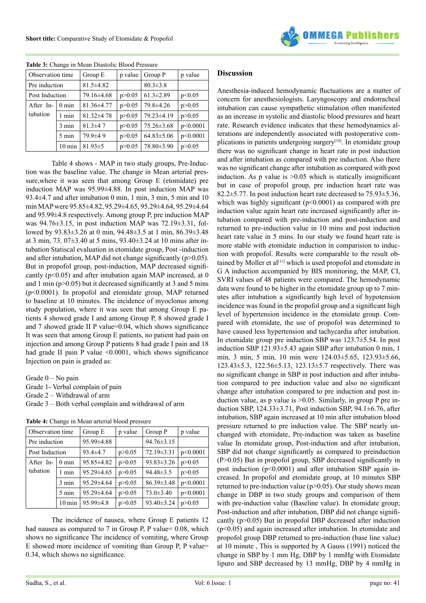

| Observation time             |                     | Group E          | p value  | Group P          | p value  |
|------------------------------|---------------------|------------------|----------|------------------|----------|
| Pre induction                |                     | $81.5 \pm 4.82$  |          | $80.3 \pm 3.8$   |          |
|                              | Post Induction      |                  | p > 0.05 | $61.3 \pm 2.89$  | p<0.05   |
| After In-<br>$0 \text{ min}$ |                     | $81.36 \pm 4.77$ | p > 0.05 | 79.8±4.26        | p > 0.05 |
| tubation                     | 1 min               | $81.32 \pm 4.78$ | p > 0.05 | 79.23±4.19       | p > 0.05 |
|                              | $3 \text{ min}$     | $81.3 + 47$      | p > 0.05 | 75.26±3.68       | p<0.0001 |
|                              | $5 \text{ min}$     | 79.9±49          | p > 0.05 | $64.83 \pm 5.06$ | p<0.0001 |
|                              | $10 \,\mathrm{min}$ | $81.93 \pm 5$    | p > 0.05 | 78.80±3.90       | p > 0.05 |

**Table 3:** Change in Mean Diastolic Blood Pressure

Table 4 shows - MAP in two study groups, Pre-Induction was the baseline value. The change in Mean arterial pressure,where it was seen that among Group E (etomidate) pre induction MAP was 95.99±4.88. In post induction MAP was 93.4±4.7 and after intubation 0 min, 1 min, 3 min, 5 min and 10 min MAP were 95.85±4.82, 95.29±4.65, 95.29±4.64, 95.29±4.64 and 95.99±4.8 respectively. Among group P, pre induction MAP was 94.76±3.15, in post induction MAP was 72.19±3.31, followed by 93.83±3.26 at 0 min, 94.48±3.5 at 1 min, 86.39±3.48 at 3 min, 73. 07±3.40 at 5 mins, 93.40±3.24 at 10 mins after intubation Statiscal evaluation in etomidate group, Post -induction and after intubation, MAP did not change significantly ( $p > 0.05$ ). But in propofol group, post-induction, MAP decreased significantly ( $p<0.05$ ) and after intubation again MAP increased, at 0 and 1 min ( $p > 0.05$ ) but it decreased significantly at 3 and 5 mins (p<0.0001). In propofol and etomidate group, MAP returned to baseline at 10 minutes. The incidence of myoclonus among study population, where it was seen that among Group E patients 4 showed grade I and among Group P, 8 showed grade I and 7 showed grade II P value=0.04, which shows significance It was seen that among Group E patients, no patient had pain on injection and among Group P patients 8 had grade I pain and 18 had grade II pain P value  $\leq 0.0001$ , which shows significance Injection on pain is graded as:

Grade 0 – No pain

- Grade 1- Verbal complain of pain
- Grade 2 Withdrawal of arm
- Grade 3 Both verbal complain and withdrawal of arm

| Table 4: Change in Mean arterial blood pressure |  |  |  |  |  |  |
|-------------------------------------------------|--|--|--|--|--|--|
|-------------------------------------------------|--|--|--|--|--|--|

| Observation time |                  | Group E          | p value  | Group P          | p value  |
|------------------|------------------|------------------|----------|------------------|----------|
| Pre induction    |                  | 95.99±4.88       |          | $94.76 \pm 3.15$ |          |
| Post Induction   |                  | $93.4 \pm 4.7$   | p > 0.05 | $72.19 \pm 3.31$ | p<0.0001 |
| After In-        | $0 \text{ min}$  | 95.85±4.82       | p > 0.05 | $93.83 \pm 3.26$ | p > 0.05 |
| tubation         | 1 min            | $95.29 \pm 4.65$ | p > 0.05 | $94.48 \pm 3.5$  | p > 0.05 |
|                  | $3 \text{ min}$  | 95.29±4.64       | p > 0.05 | $86.39 \pm 3.48$ | p<0.0001 |
|                  | $5 \text{ min}$  | $95.29 \pm 4.64$ | p > 0.05 | $73.0 \pm 3.40$  | p<0.0001 |
|                  | $10 \text{ min}$ | $95.99 \pm 4.8$  | p > 0.05 | 93.40±3.24       | p > 0.05 |

The incidence of nausea, where Group E patients 12 had nausea as compared to 7 in Group P, P value= 0.08, which shows no significance The incidence of vomiting, where Group E showed more incidence of vomiting than Group P, P value= 0.34, which shows no significance.

## **Discussion**

Anesthesia-induced hemodynamic fluctuations are a matter of concern for anesthesiologists. Laryngoscopy and endotracheal intubation can cause sympathetic stimulation often manifested as an increase in systolic and diastolic blood pressures and heart rate. Research evidence indicates that these hemodynamics alterations are independently associated with postoperative com-plications in patients undergoing surgery<sup>[\[10\]](#page-5-4)</sup>. In etomidate group there was no significant change in heart rate in post induction and after intubation as compared with pre induction. Also there was no significant change after intubation as compared with post induction. As  $p$  value is  $>0.05$  which is statically insignificant but in case of propofol group, pre induction heart rate was 82.2 $\pm$ 5.77. In post induction heart rate decreased to 75.93 $\pm$ 5.36, which was highly significant  $(p<0.0001)$  as compared with pre induction value again heart rate increased significantly after intubation compared with pre-induction and post-induction and returned to pre-induction value in 10 mins and post induction heart rate value in 5 mins. In our study we found heart rate is more stable with etomidate induction in comparision to induction with propofol. Results were comparable to the result ob-tained by Moller et al<sup>[\[11\]](#page-5-5)</sup> which is used propofol and etomidate in G A induction accompanied by BIS monitoring, the MAP, CI, SVRI values of 48 patients were compared. The hemodynamic data were found to be higher in the etomidate group up to 7 minutes after intubation a significantly high level of hypotension incidence was found in the propofol group and a significant high level of hypertension incidence in the etomidate group. Compared with etomidate, the use of propofol was determined to have caused less hypertension and tachycardia after intubation. In etomidate group pre induction SBP was 123.7±5.54. In post induction SBP 121.93±5.43 again SBP after intubation 0 min, 1 min, 3 min, 5 min, 10 min were 124.03±5.65, 123.93±5.66, 123.43±5.3, 122.56±5.13, 123.13±5.7 respectively. There was no significant change in SBP in post induction and after intubation compared to pre induction value and also no significant change after intubation compared to pre induction and post induction value, as p value is >0.05. Similarly, in group P pre induction SBP, 124.33±3.71, Post induction SBP, 94.1±6.76, after intubation, SBP again increased at 10 min after intubation blood pressure returned to pre induction value. The SBP nearly unchanged with etomidate, Pre-induction was taken as baseline value In etomidate group, Post-induction and after intubation, SBP did not change significantly as compared to preinduction (P>0.05) But in propofol group, SBP decreased significantly in post induction (p<0.0001) and after intubation SBP again increased. In propofol and etomidate group, at 10 minutes SBP returned to pre-induction value ( $p > 0.05$ ). Our study shows mean change in DBP in two study groups and comparison of them with pre-induction value (Baseline value). In etomidate group; Post-induction and after intubation, DBP did not change significantly (p>0.05) But in propofol DBP decreased after induction (p<0.05) and again increased after intubation. In etomidate and propofol group DBP returned to pre-induction (base line value) at 10 minute , This is supported by A Gauss (1991) noticed the change in SBP by 1 mm Hg, DBP by 1 mmHg with Etomidate lipuro and SBP decreased by 13 mmHg, DBP by 4 mmHg in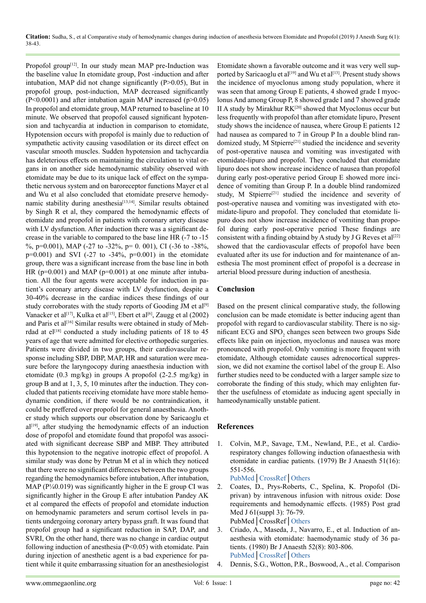Propofol group<sup>[12]</sup>. In our study mean MAP pre-Induction was the baseline value In etomidate group, Post -induction and after intubation, MAP did not change significantly (P>0.05), But in propofol group, post-induction, MAP decreased significantly  $(P<0.0001)$  and after intubation again MAP increased (p>0.05) In propofol and etomidate group, MAP returned to baseline at 10 minute. We observed that propofol caused significant hypotension and tachycardia at induction in comparison to etomidate, Hypotension occurs with propofol is mainly due to reduction of sympathetic activity causing vasodilation or its direct effect on vascular smooth muscles. Sudden hypotension and tachycardia has deleterious effects on maintaining the circulation to vital organs in on another side hemodynamic stability observed with etomidate may be due to its unique lack of effect on the sympathetic nervous system and on baroreceptor functions Mayer et al and Wu et al also concluded that etomidate preserve hemodynamic stability during anesthesia<sup>[13,14]</sup>. Similar results obtained by Singh R et al, they compared the hemodynamic effects of etomidate and propofol in patients with coronary artery disease with LV dysfunction. After induction there was a significant decrease in the variable to compared to the base line HR (-7 to -15 %, p=0.001), MAP (-27 to -32%, p= 0. 001), CI (-36 to -38%,  $p=0.001$ ) and SVI (-27 to -34%,  $p=0.001$ ) in the etomidate group, there was a significant increase from the base line in both HR ( $p=0.001$ ) and MAP ( $p=0.001$ ) at one minute after intubation. All the four agents were acceptable for induction in patient's coronary artery disease with LV dysfunction, despite a 30-40% decrease in the cardiac indices these findings of our study corroborates with the study reports of Gooding JM et al<sup>[\[9\]](#page-5-8)</sup> Vanacker et al<sup>[17]</sup>, Kulka et al<sup>[\[15\]](#page-5-10)</sup>, Ebert et al<sup>[6]</sup>, Zaugg et al (2002) and Paris et al<sup>[\[16\]](#page-5-11)</sup> Similar results were obtained in study of Mehrdad at  $el^{[18]}$  $el^{[18]}$  $el^{[18]}$  conducted a study including patients of 18 to 45 years of age that were admitted for elective orthopedic surgeries. Patients were divided in two groups, their cardiovascular response including SBP, DBP, MAP, HR and saturation were measure before the laryngocopy during anaesthesia induction with etomidate (0.3 mg/kg) in groups A propofol (2-2.5 mg/kg) in group B and at 1, 3, 5, 10 minutes after the induction. They concluded that patients receiving etomidate have more stable hemodynamic condition, if there would be no contraindication, it could be preffered over propofol for general anaesthesia. Another study which supports our observation done by Saricaoglu et al<sup>[19]</sup>, after studying the hemodynamic effects of an induction dose of propofol and etomidate found that propofol was associated with significant decrease SBP and MBP. They attributed this hypotension to the negative inotropic effect of propofol. A similar study was done by Petrun M et al in which they noticed that there were no significant differences between the two groups regarding the hemodynamics before intubation, After intubation, MAP ( $P\frac{40.019}{ }$ ) was significantly higher in the E group CI was significantly higher in the Group E after intubation Pandey AK et al compared the effects of propofol and etomidate induction on hemodynamic parameters and serum cortisol levels in patients undergoing coronary artery bypass graft. It was found that propofol group had a significant reduction in SAP, DAP, and SVRI, On the other hand, there was no change in cardiac output following induction of anesthesia (P<0.05) with etomidate. Pain during injection of anesthetic agent is a bad experience for patient while it quite embarrassing situation for an anesthesiologist

Etomidate shown a favorable outcome and it was very well supported by Saricaoglu et al<sup>[19]</sup> and Wu et al<sup>[13]</sup>. Present study shows the incidence of myoclonus among study population, where it was seen that among Group E patients, 4 showed grade I myoclonus And among Group P, 8 showed grade I and 7 showed grade II A study by Mirakhur  $RK^{[20]}$  showed that Myoclonus occur but less frequently with propofol than after etomidate lipuro, Present study shows the incidence of nausea, where Group E patients 12 had nausea as compared to 7 in Group P In a double blind randomized study, M Stpierre<sup>[21]</sup> studied the incidence and severity of post-operative nausea and vomiting was investigated with etomidate-lipuro and propofol. They concluded that etomidate lipuro does not show increase incidence of nausea than propofol during early post-operative period Group E showed more incidence of vomiting than Group P. In a double blind randomized study, M Stpierre<sup>[\[21\]](#page-5-15)</sup> studied the incidence and severity of post-operative nausea and vomiting was investigated with etomidate-lipuro and propofol. They concluded that etomidate lipuro does not show increase incidence of vomiting than propofol during early post-operative period These findings are consistent with a finding obtaind by A study by J G Reves et al<sup>[\[22\]](#page-5-16)</sup> showed that the cardiovascular effects of propofol have been evaluated after its use for induction and for maintenance of anesthesia The most prominent effect of propofol is a decrease in arterial blood pressure during induction of anesthesia.

# **Conclusion**

Based on the present clinical comparative study, the following conclusion can be made etomidate is better inducing agent than propofol with regard to cardiovascular stability. There is no significant ECG and  $SPO_{2}$  changes seen between two groups Side effects like pain on injection, myoclonus and nausea was more pronounced with propofol. Only vomiting is more frequent with etomidate, Although etomidate causes adrenocortical suppression, we did not examine the cortisol label of the group E. Also further studies need to be conducted with a larger sample size to corroborate the finding of this study, which may enlighten further the usefulness of etomidate as inducing agent specially in hameodynamically unstable patient.

# **References**

<span id="page-4-0"></span>1. Colvin, M.P., Savage, T.M., Newland, P.E., et al. Cardiorespiratory changes following induction ofanaesthesia with etomidate in cardiac patients. (1979) Br J Anaesth 51(16): 551-556.

<span id="page-4-1"></span>[PubMed](https://www.ncbi.nlm.nih.gov/pubmed/465273)│[CrossRef](https://doi.org/10.1093/bja/51.6.551)│[Others](https://pdfs.semanticscholar.org/20ed/6207a13451f5731f40e9de5baf2daa04adcb.pdf)

- 2. Coates, D., Prys-Roberts, C., Spelina, K. Propofol (Diprivan) by intravenous infusion with nitrous oxide: Dose requirements and hemodynamic effects. (1985) Post grad Med J 61(suppl 3): 76-79. PubMed│CrossRef│[Others](http://europepmc.org/abstract/med/3877300)
- <span id="page-4-2"></span>3. Criado, A., Maseda, J., Navarro, E., et al. Induction of anaesthesia with etomidate: haemodynamic study of 36 patients. (1980) Br J Anaesth 52(8): 803-806. [PubMed](https://www.ncbi.nlm.nih.gov/pubmed/7426258)│[CrossRef](https://doi.org/10.1093/bja/52.8.803)│[Others](https://academic.oup.com/bja/article/52/8/803/450976)
- <span id="page-4-3"></span>4. Dennis, S.G., Wotton, P.R., Boswood, A., et al. Comparison